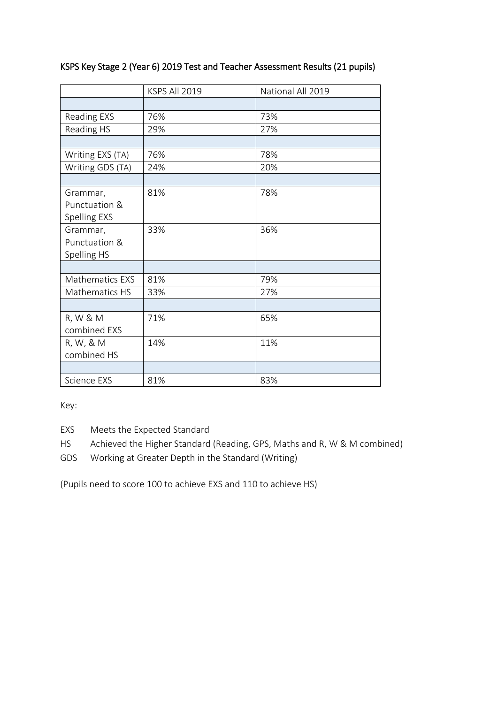## KSPS Key Stage 2 (Year 6) 2019 Test and Teacher Assessment Results (21 pupils)

|                        | KSPS All 2019 | National All 2019 |  |
|------------------------|---------------|-------------------|--|
|                        |               |                   |  |
| <b>Reading EXS</b>     | 76%           | 73%               |  |
| Reading HS             | 29%           | 27%               |  |
|                        |               |                   |  |
| Writing EXS (TA)       | 76%           | 78%               |  |
| Writing GDS (TA)       | 24%           | 20%               |  |
|                        |               |                   |  |
| Grammar,               | 81%           | 78%               |  |
| Punctuation &          |               |                   |  |
| Spelling EXS           |               |                   |  |
| Grammar,               | 33%           | 36%               |  |
| Punctuation &          |               |                   |  |
| Spelling HS            |               |                   |  |
|                        |               |                   |  |
| <b>Mathematics EXS</b> | 81%           | 79%               |  |
| Mathematics HS         | 33%           | 27%               |  |
|                        |               |                   |  |
| R, W & M               | 71%           | 65%               |  |
| combined EXS           |               |                   |  |
| R, W, & M              | 14%           | 11%               |  |
| combined HS            |               |                   |  |
|                        |               |                   |  |
| Science EXS            | 81%           | 83%               |  |

Key:

EXS Meets the Expected Standard

HS Achieved the Higher Standard (Reading, GPS, Maths and R, W & M combined)

GDS Working at Greater Depth in the Standard (Writing)

(Pupils need to score 100 to achieve EXS and 110 to achieve HS)